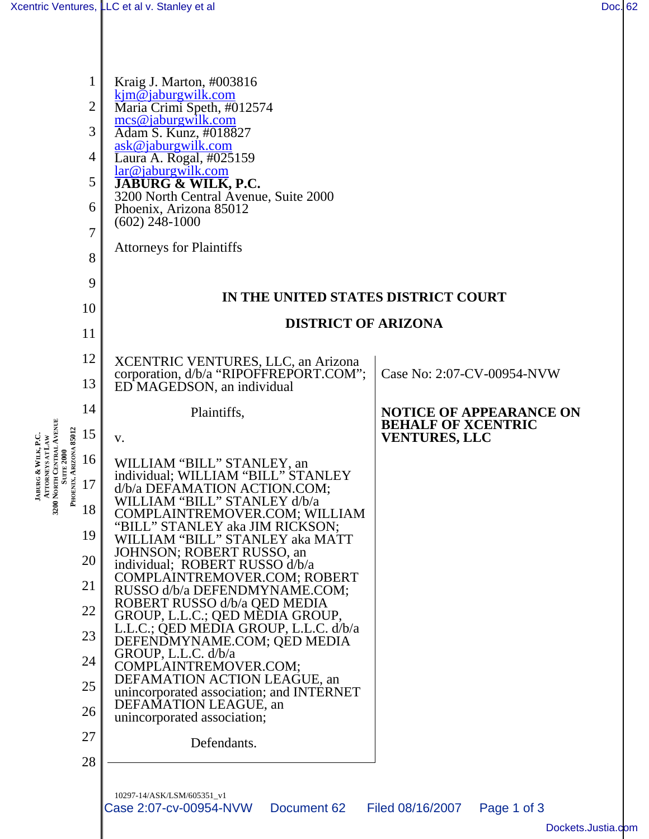**JABURG &**

**WILK, P.C. ATTORNEYS AT LAW**

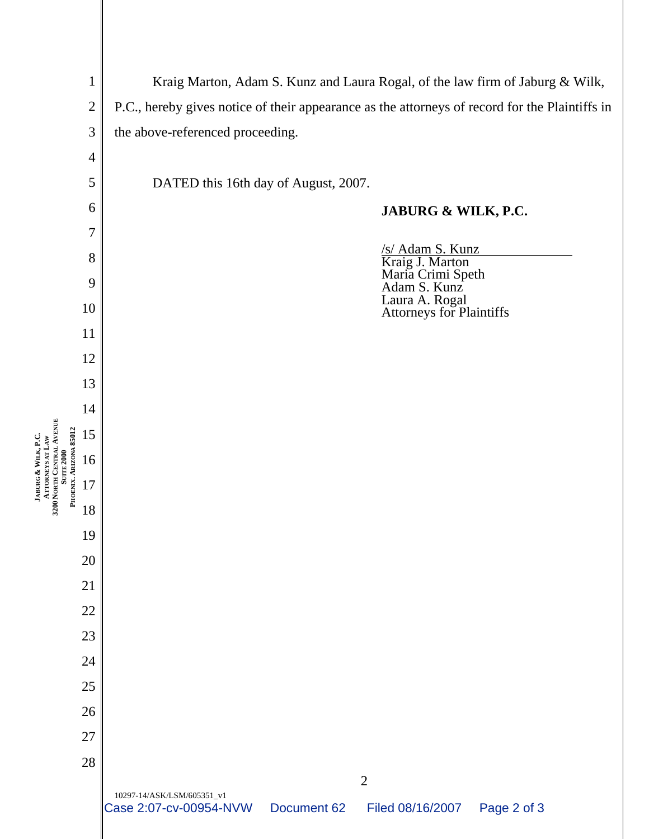